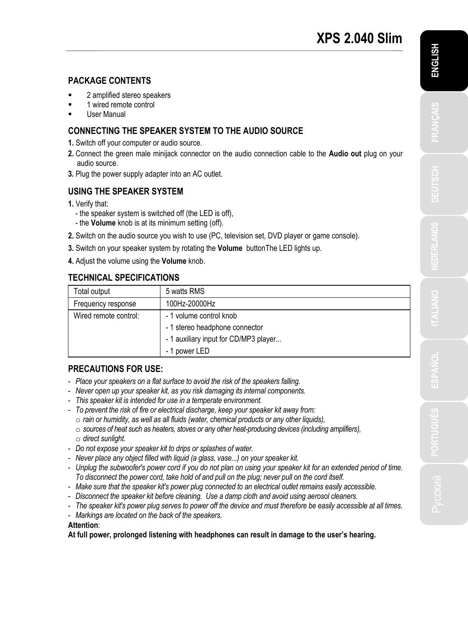## **PACKAGE CONTENTS**

- 2 amplified stereo speakers
- 1 wired remote control
- User Manual

## **CONNECTING THE SPEAKER SYSTEM TO THE AUDIO SOURCE**

- **1.** Switch off your computer or audio source.
- **2.** Connect the green male minijack connector on the audio connection cable to the **Audio out** plug on your audio source.
- **3.** Plug the power supply adapter into an AC outlet.

## **USING THE SPEAKER SYSTEM**

- **1.** Verify that:
	- the speaker system is switched off (the LED is off),
	- the **Volume** knob is at its minimum setting (off).
- **2.** Switch on the audio source you wish to use (PC, television set, DVD player or game console).
- **3.** Switch on your speaker system by rotating the **Volume** buttonThe LED lights up.
- **4.** Adjust the volume using the **Volume** knob.

# **TECHNICAL SPECIFICATIONS**

| Total output          | 5 watts RMS                           |  |
|-----------------------|---------------------------------------|--|
| Frequency response    | 100Hz-20000Hz                         |  |
| Wired remote control: | - 1 volume control knob               |  |
|                       | - 1 stereo headphone connector        |  |
|                       | - 1 auxiliary input for CD/MP3 player |  |
|                       | - 1 power LED                         |  |

### **PRECAUTIONS FOR USE:**

- *Place your speakers on a flat surface to avoid the risk of the speakers falling.*
- *Never open up your speaker kit, as you risk damaging its internal components.*
- *This speaker kit is intended for use in a temperate environment.*
- *To prevent the risk of fire or electrical discharge, keep your speaker kit away from:*
	- o *rain or humidity, as well as all fluids (water, chemical products or any other liquids),*
	- o *sources of heat such as heaters, stoves or any other heat-producing devices (including amplifiers),*
	- o *direct sunlight.*
- *Do not expose your speaker kit to drips or splashes of water.*
- *Never place any object filled with liquid (a glass, vase...) on your speaker kit.*
- *Unplug the subwoofer's power cord if you do not plan on using your speaker kit for an extended period of time. To disconnect the power cord, take hold of and pull on the plug; never pull on the cord itself.*
- *Make sure that the speaker kit's power plug connected to an electrical outlet remains easily accessible.*
- *Disconnect the speaker kit before cleaning. Use a damp cloth and avoid using aerosol cleaners.*
- *The speaker kit's power plug serves to power off the device and must therefore be easily accessible at all times.*
- *Markings are located on the back of the speakers.*

### **Attention**:

**At full power, prolonged listening with headphones can result in damage to the user's hearing.**